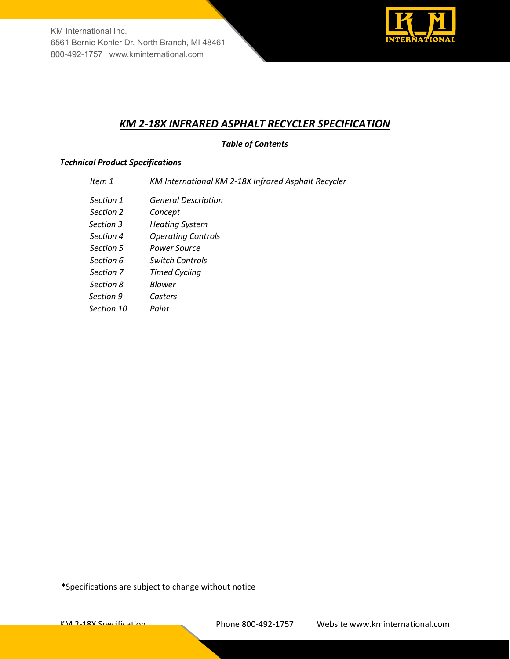

# *KM 2-18X INFRARED ASPHALT RECYCLER SPECIFICATION*

# *Table of Contents*

## *Technical Product Specifications*

- *Item 1 KM International KM 2-18X Infrared Asphalt Recycler*
- *Section 1 General Description*
- *Section 2 Concept*
- *Section 3 Heating System*
- *Section 4 Operating Controls*
- *Section 5 Power Source*
- *Section 6 Switch Controls*
- *Section 7 Timed Cycling*
- *Section 8 Blower*
- *Section 9 Casters*
- *Section 10 Paint*

\*Specifications are subject to change without notice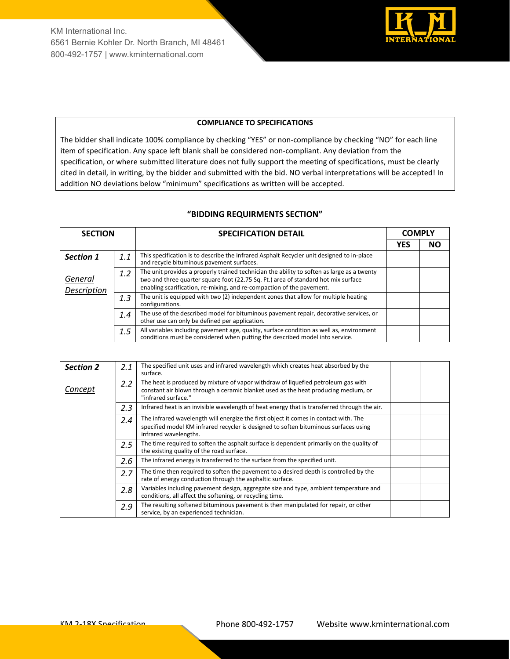

#### **COMPLIANCE TO SPECIFICATIONS**

The bidder shall indicate 100% compliance by checking "YES" or non-compliance by checking "NO" for each line item of specification. Any space left blank shall be considered non-compliant. Any deviation from the specification, or where submitted literature does not fully support the meeting of specifications, must be clearly cited in detail, in writing, by the bidder and submitted with the bid. NO verbal interpretations will be accepted! In addition NO deviations below "minimum" specifications as written will be accepted.

### **"BIDDING REQUIRMENTS SECTION"**

| <b>SECTION</b>         |     | <b>SPECIFICATION DETAIL</b>                                                                                                                                                                                                                               |            | <b>COMPLY</b> |  |
|------------------------|-----|-----------------------------------------------------------------------------------------------------------------------------------------------------------------------------------------------------------------------------------------------------------|------------|---------------|--|
|                        |     |                                                                                                                                                                                                                                                           | <b>YES</b> | NΟ            |  |
| Section 1              | 1.1 | This specification is to describe the Infrared Asphalt Recycler unit designed to in-place<br>and recycle bituminous pavement surfaces.                                                                                                                    |            |               |  |
| General<br>Description | 1.2 | The unit provides a properly trained technician the ability to soften as large as a twenty<br>two and three quarter square foot (22.75 Sq. Ft.) area of standard hot mix surface<br>enabling scarification, re-mixing, and re-compaction of the pavement. |            |               |  |
|                        | 1.3 | The unit is equipped with two (2) independent zones that allow for multiple heating<br>configurations.                                                                                                                                                    |            |               |  |
|                        | 1.4 | The use of the described model for bituminous pavement repair, decorative services, or<br>other use can only be defined per application.                                                                                                                  |            |               |  |
|                        | 1.5 | All variables including pavement age, quality, surface condition as well as, environment<br>conditions must be considered when putting the described model into service.                                                                                  |            |               |  |

| <b>Section 2</b> | 2.1 | The specified unit uses and infrared wavelength which creates heat absorbed by the<br>surface.                                                                                                        |  |
|------------------|-----|-------------------------------------------------------------------------------------------------------------------------------------------------------------------------------------------------------|--|
| Concept          | 2.2 | The heat is produced by mixture of vapor withdraw of liquefied petroleum gas with<br>constant air blown through a ceramic blanket used as the heat producing medium, or<br>"infrared surface."        |  |
|                  | 2.3 | Infrared heat is an invisible wavelength of heat energy that is transferred through the air.                                                                                                          |  |
|                  | 2.4 | The infrared wavelength will energize the first object it comes in contact with. The<br>specified model KM infrared recycler is designed to soften bituminous surfaces using<br>infrared wavelengths. |  |
|                  | 2.5 | The time required to soften the asphalt surface is dependent primarily on the quality of<br>the existing quality of the road surface.                                                                 |  |
|                  | 2.6 | The infrared energy is transferred to the surface from the specified unit.                                                                                                                            |  |
|                  | 2.7 | The time then required to soften the pavement to a desired depth is controlled by the<br>rate of energy conduction through the asphaltic surface.                                                     |  |
|                  | 2.8 | Variables including pavement design, aggregate size and type, ambient temperature and<br>conditions, all affect the softening, or recycling time.                                                     |  |
|                  | 2.9 | The resulting softened bituminous pavement is then manipulated for repair, or other<br>service, by an experienced technician.                                                                         |  |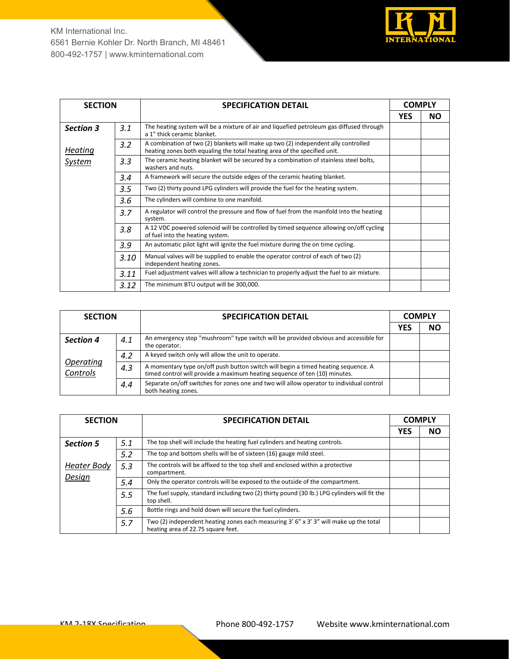

| <b>SECTION</b>   |                  | <b>SPECIFICATION DETAIL</b>                                                                                                                                     | <b>COMPLY</b> |           |
|------------------|------------------|-----------------------------------------------------------------------------------------------------------------------------------------------------------------|---------------|-----------|
|                  |                  |                                                                                                                                                                 | <b>YES</b>    | <b>NO</b> |
| <b>Section 3</b> | 3.1              | The heating system will be a mixture of air and liquefied petroleum gas diffused through<br>a 1" thick ceramic blanket.                                         |               |           |
| Heating          | 3.2              | A combination of two (2) blankets will make up two (2) independent ally controlled<br>heating zones both equaling the total heating area of the specified unit. |               |           |
| <b>System</b>    | 3.3              | The ceramic heating blanket will be secured by a combination of stainless steel bolts,<br>washers and nuts.                                                     |               |           |
|                  | 3.4              | A framework will secure the outside edges of the ceramic heating blanket.                                                                                       |               |           |
|                  | $3.5\phantom{0}$ | Two (2) thirty pound LPG cylinders will provide the fuel for the heating system.                                                                                |               |           |
|                  | 3.6              | The cylinders will combine to one manifold.                                                                                                                     |               |           |
|                  | 3.7              | A regulator will control the pressure and flow of fuel from the manifold into the heating<br>system.                                                            |               |           |
|                  | 3.8              | A 12 VDC powered solenoid will be controlled by timed sequence allowing on/off cycling<br>of fuel into the heating system.                                      |               |           |
|                  | 3.9              | An automatic pilot light will ignite the fuel mixture during the on time cycling.                                                                               |               |           |
|                  | 3.10             | Manual valves will be supplied to enable the operator control of each of two (2)<br>independent heating zones.                                                  |               |           |
|                  | 3.11             | Fuel adjustment valves will allow a technician to properly adjust the fuel to air mixture.                                                                      |               |           |
|                  | 3.12             | The minimum BTU output will be 300,000.                                                                                                                         |               |           |

| <b>SECTION</b>               |     | <b>SPECIFICATION DETAIL</b>                                                                                                                                     |            | <b>COMPLY</b> |  |
|------------------------------|-----|-----------------------------------------------------------------------------------------------------------------------------------------------------------------|------------|---------------|--|
|                              |     |                                                                                                                                                                 | <b>YES</b> | NΟ            |  |
| <b>Section 4</b>             | 4.1 | An emergency stop "mushroom" type switch will be provided obvious and accessible for<br>the operator.                                                           |            |               |  |
| <b>Operating</b><br>Controls | 4.2 | A keyed switch only will allow the unit to operate.                                                                                                             |            |               |  |
|                              | 4.3 | A momentary type on/off push button switch will begin a timed heating sequence. A<br>timed control will provide a maximum heating sequence of ten (10) minutes. |            |               |  |
|                              | 4.4 | Separate on/off switches for zones one and two will allow operator to individual control<br>both heating zones.                                                 |            |               |  |

| <b>SECTION</b>   |     | <b>SPECIFICATION DETAIL</b>                                                                                                     |            | <b>COMPLY</b> |
|------------------|-----|---------------------------------------------------------------------------------------------------------------------------------|------------|---------------|
|                  |     |                                                                                                                                 | <b>YES</b> | <b>NO</b>     |
| <b>Section 5</b> | 5.1 | The top shell will include the heating fuel cylinders and heating controls.                                                     |            |               |
|                  | 5.2 | The top and bottom shells will be of sixteen (16) gauge mild steel.                                                             |            |               |
| Heater Body      | 5.3 | The controls will be affixed to the top shell and enclosed within a protective<br>compartment.                                  |            |               |
| Design           | 5.4 | Only the operator controls will be exposed to the outside of the compartment.                                                   |            |               |
|                  | 5.5 | The fuel supply, standard including two (2) thirty pound (30 lb.) LPG cylinders will fit the<br>top shell.                      |            |               |
|                  | 5.6 | Bottle rings and hold down will secure the fuel cylinders.                                                                      |            |               |
|                  | 5.7 | Two (2) independent heating zones each measuring $3'$ 6" x $3'$ 3" will make up the total<br>heating area of 22.75 square feet. |            |               |